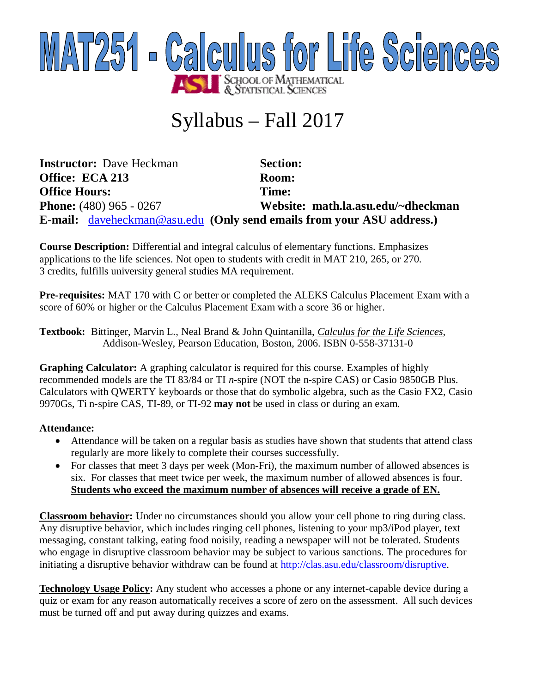

# Syllabus – Fall 2017

**Instructor:** Dave Heckman **Section: Office: ECA 213 Room: Office Hours: Time: Phone:** (480) 965 - 0267 **Website: math.la.asu.edu/~dheckman E-mail:** [daveheckman@asu.edu](mailto:daveheckman@asu.edu) **(Only send emails from your ASU address.)**

**Course Description:** Differential and integral calculus of elementary functions. Emphasizes applications to the life sciences. Not open to students with credit in MAT 210, 265, or 270. 3 credits, fulfills university general studies MA requirement.

**Pre-requisites:** MAT 170 with C or better or completed the ALEKS Calculus Placement Exam with a score of 60% or higher or the Calculus Placement Exam with a score 36 or higher.

**Textbook:** Bittinger, Marvin L., Neal Brand & John Quintanilla, *Calculus for the Life Sciences*, Addison-Wesley, Pearson Education, Boston, 2006. ISBN 0-558-37131-0

**Graphing Calculator:** A graphing calculator is required for this course. Examples of highly recommended models are the TI 83/84 or TI *n*-spire (NOT the n-spire CAS) or Casio 9850GB Plus. Calculators with QWERTY keyboards or those that do symbolic algebra, such as the Casio FX2, Casio 9970Gs, Ti n-spire CAS, TI-89, or TI-92 **may not** be used in class or during an exam.

## **Attendance:**

- Attendance will be taken on a regular basis as studies have shown that students that attend class regularly are more likely to complete their courses successfully.
- For classes that meet 3 days per week (Mon-Fri), the maximum number of allowed absences is six. For classes that meet twice per week, the maximum number of allowed absences is four. **Students who exceed the maximum number of absences will receive a grade of EN.**

**Classroom behavior:** Under no circumstances should you allow your cell phone to ring during class. Any disruptive behavior, which includes ringing cell phones, listening to your mp3/iPod player, text messaging, constant talking, eating food noisily, reading a newspaper will not be tolerated. Students who engage in disruptive classroom behavior may be subject to various sanctions. The procedures for initiating a disruptive behavior withdraw can be found at <http://clas.asu.edu/classroom/disruptive.>

**Technology Usage Policy:** Any student who accesses a phone or any internet-capable device during a quiz or exam for any reason automatically receives a score of zero on the assessment. All such devices must be turned off and put away during quizzes and exams.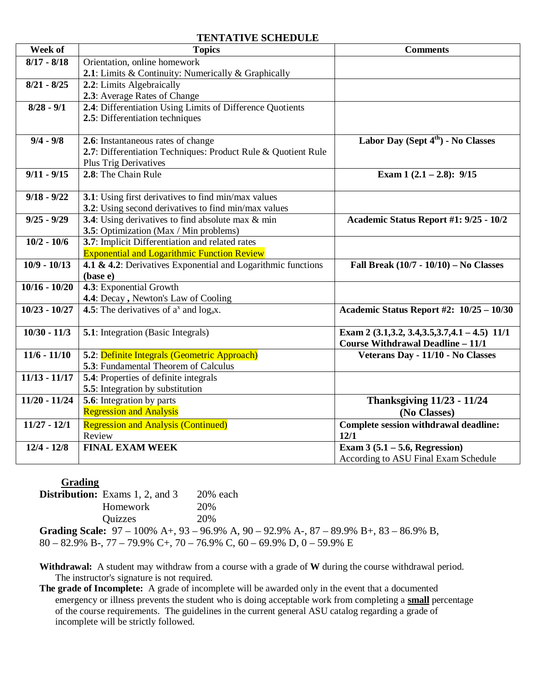#### **TENTATIVE SCHEDULE**

| Week of         | <b>Topics</b>                                                 | <b>Comments</b>                                    |
|-----------------|---------------------------------------------------------------|----------------------------------------------------|
| $8/17 - 8/18$   | Orientation, online homework                                  |                                                    |
|                 | 2.1: Limits & Continuity: Numerically & Graphically           |                                                    |
| $8/21 - 8/25$   | 2.2: Limits Algebraically                                     |                                                    |
|                 | 2.3: Average Rates of Change                                  |                                                    |
| $8/28 - 9/1$    | 2.4: Differentiation Using Limits of Difference Quotients     |                                                    |
|                 | 2.5: Differentiation techniques                               |                                                    |
|                 |                                                               |                                                    |
| $9/4 - 9/8$     | 2.6: Instantaneous rates of change                            | Labor Day (Sept $4th$ ) - No Classes               |
|                 | 2.7: Differentiation Techniques: Product Rule & Quotient Rule |                                                    |
|                 | <b>Plus Trig Derivatives</b>                                  |                                                    |
| $9/11 - 9/15$   | 2.8: The Chain Rule                                           | Exam $1(2.1 - 2.8)$ : 9/15                         |
| $9/18 - 9/22$   | 3.1: Using first derivatives to find min/max values           |                                                    |
|                 | 3.2: Using second derivatives to find min/max values          |                                                    |
| $9/25 - 9/29$   | <b>3.4</b> : Using derivatives to find absolute max & min     | Academic Status Report #1: 9/25 - 10/2             |
|                 | 3.5: Optimization (Max / Min problems)                        |                                                    |
| $10/2 - 10/6$   | 3.7: Implicit Differentiation and related rates               |                                                    |
|                 | <b>Exponential and Logarithmic Function Review</b>            |                                                    |
| $10/9 - 10/13$  | 4.1 & 4.2: Derivatives Exponential and Logarithmic functions  | Fall Break $(10/7 - 10/10) - No$ Classes           |
|                 | (base e)                                                      |                                                    |
| $10/16 - 10/20$ | 4.3: Exponential Growth                                       |                                                    |
|                 | 4.4: Decay, Newton's Law of Cooling                           |                                                    |
| $10/23 - 10/27$ | <b>4.5</b> : The derivatives of $a^x$ and $log_a x$ .         | Academic Status Report #2: 10/25 - 10/30           |
|                 |                                                               |                                                    |
| $10/30 - 11/3$  | <b>5.1</b> : Integration (Basic Integrals)                    | Exam 2 (3.1, 3.2, 3.4, 3.5, 3.7, 4.1 - 4.5) $11/1$ |
|                 |                                                               | <b>Course Withdrawal Deadline - 11/1</b>           |
| $11/6 - 11/10$  | 5.2: Definite Integrals (Geometric Approach)                  | Veterans Day - 11/10 - No Classes                  |
|                 | 5.3: Fundamental Theorem of Calculus                          |                                                    |
| $11/13 - 11/17$ | <b>5.4</b> : Properties of definite integrals                 |                                                    |
|                 | 5.5: Integration by substitution                              |                                                    |
| $11/20 - 11/24$ | 5.6: Integration by parts                                     | <b>Thanksgiving 11/23 - 11/24</b>                  |
|                 | <b>Regression and Analysis</b>                                | (No Classes)                                       |
| $11/27 - 12/1$  | <b>Regression and Analysis (Continued)</b>                    | Complete session withdrawal deadline:              |
|                 | Review                                                        | 12/1                                               |
| $12/4 - 12/8$   | <b>FINAL EXAM WEEK</b>                                        | Exam $3(5.1 - 5.6$ , Regression)                   |
|                 |                                                               | According to ASU Final Exam Schedule               |

**Grading Distribution:** Exams 1, 2, and 3 20% each Homework 20% Quizzes 20%

**Grading Scale:** 97 – 100% A+, 93 – 96.9% A, 90 – 92.9% A-, 87 – 89.9% B+, 83 – 86.9% B,  $80 - 82.9\%$  B-,  $77 - 79.9\%$  C+,  $70 - 76.9\%$  C,  $60 - 69.9\%$  D,  $0 - 59.9\%$  E

**Withdrawal:** A student may withdraw from a course with a grade of **W** during the course withdrawal period. The instructor's signature is not required.

**The grade of Incomplete:** A grade of incomplete will be awarded only in the event that a documented emergency or illness prevents the student who is doing acceptable work from completing a **small** percentage of the course requirements. The guidelines in the current general ASU catalog regarding a grade of incomplete will be strictly followed.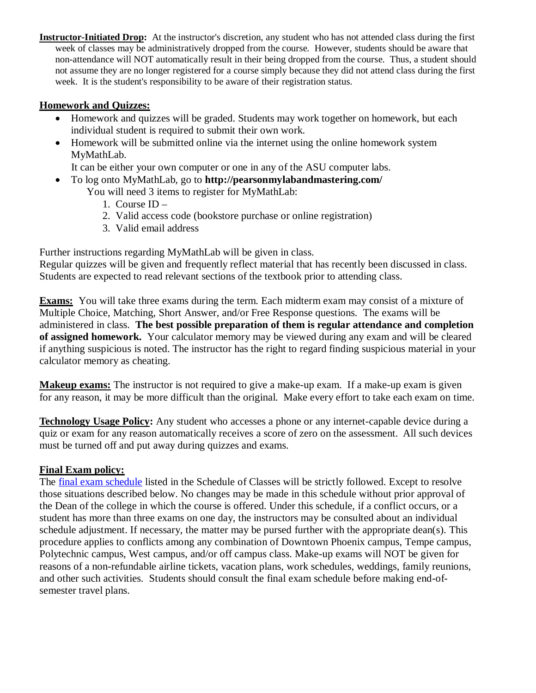**Instructor-Initiated Drop:** At the instructor's discretion, any student who has not attended class during the first week of classes may be administratively dropped from the course. However, students should be aware that non-attendance will NOT automatically result in their being dropped from the course. Thus, a student should not assume they are no longer registered for a course simply because they did not attend class during the first week. It is the student's responsibility to be aware of their registration status.

### **Homework and Quizzes:**

- Homework and quizzes will be graded. Students may work together on homework, but each individual student is required to submit their own work.
- Homework will be submitted online via the internet using the online homework system MyMathLab.

It can be either your own computer or one in any of the ASU computer labs.

- To log onto MyMathLab, go to **<http://pearsonmylabandmastering.com/>** You will need 3 items to register for MyMathLab:
	- 1. Course ID –
	- 2. Valid access code (bookstore purchase or online registration)
	- 3. Valid email address

Further instructions regarding MyMathLab will be given in class.

Regular quizzes will be given and frequently reflect material that has recently been discussed in class. Students are expected to read relevant sections of the textbook prior to attending class.

**Exams:** You will take three exams during the term. Each midterm exam may consist of a mixture of Multiple Choice, Matching, Short Answer, and/or Free Response questions. The exams will be administered in class. **The best possible preparation of them is regular attendance and completion of assigned homework.** Your calculator memory may be viewed during any exam and will be cleared if anything suspicious is noted. The instructor has the right to regard finding suspicious material in your calculator memory as cheating.

**Makeup exams:** The instructor is not required to give a make-up exam. If a make-up exam is given for any reason, it may be more difficult than the original. Make every effort to take each exam on time.

**Technology Usage Policy:** Any student who accesses a phone or any internet-capable device during a quiz or exam for any reason automatically receives a score of zero on the assessment. All such devices must be turned off and put away during quizzes and exams.

## **Final Exam policy:**

The final exam schedule listed in the Schedule of Classes will be strictly followed. Except to resolve those situations described below. No changes may be made in this schedule without prior approval of the Dean of the college in which the course is offered. Under this schedule, if a conflict occurs, or a student has more than three exams on one day, the instructors may be consulted about an individual schedule adjustment. If necessary, the matter may be pursed further with the appropriate dean(s). This procedure applies to conflicts among any combination of Downtown Phoenix campus, Tempe campus, Polytechnic campus, West campus, and/or off campus class. Make-up exams will NOT be given for reasons of a non-refundable airline tickets, vacation plans, work schedules, weddings, family reunions, and other such activities. Students should consult the final exam schedule before making end-ofsemester travel plans.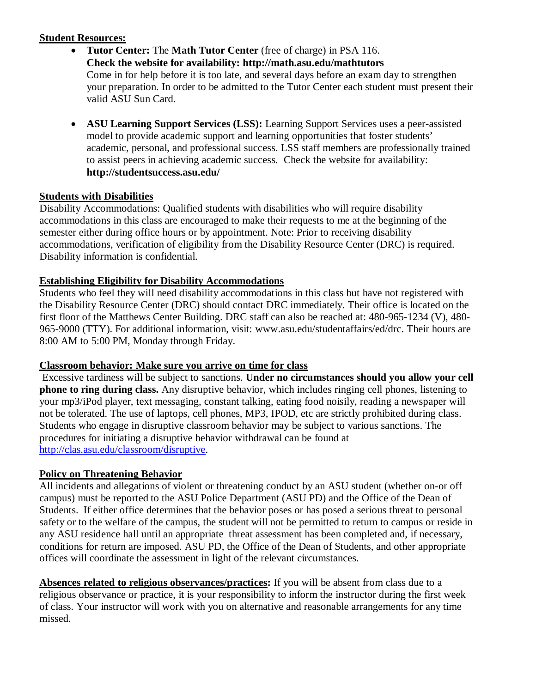## **Student Resources:**

- **Tutor Center:** The **Math Tutor Center** (free of charge) in PSA 116. **Check the website for availability:<http://math.asu.edu/mathtutors>** Come in for help before it is too late, and several days before an exam day to strengthen your preparation. In order to be admitted to the Tutor Center each student must present their valid ASU Sun Card.
- **ASU Learning Support Services (LSS):** Learning Support Services uses a peer-assisted model to provide academic support and learning opportunities that foster students' academic, personal, and professional success. LSS staff members are professionally trained to assist peers in achieving academic success. Check the website for availability: **<http://studentsuccess.asu.edu/>**

### **Students with Disabilities**

Disability Accommodations: Qualified students with disabilities who will require disability accommodations in this class are encouraged to make their requests to me at the beginning of the semester either during office hours or by appointment. Note: Prior to receiving disability accommodations, verification of eligibility from the Disability Resource Center (DRC) is required. Disability information is confidential.

### **Establishing Eligibility for Disability Accommodations**

Students who feel they will need disability accommodations in this class but have not registered with the Disability Resource Center (DRC) should contact DRC immediately. Their office is located on the first floor of the Matthews Center Building. DRC staff can also be reached at: 480-965-1234 (V), 480- 965-9000 (TTY). For additional information, visit: [www.asu.edu/studentaffairs/ed/drc.](http://www.asu.edu/studentaffairs/ed/drc.) Their hours are 8:00 AM to 5:00 PM, Monday through Friday.

## **Classroom behavior: Make sure you arrive on time for class**

Excessive tardiness will be subject to sanctions. **Under no circumstances should you allow your cell phone to ring during class.** Any disruptive behavior, which includes ringing cell phones, listening to your mp3/iPod player, text messaging, constant talking, eating food noisily, reading a newspaper will not be tolerated. The use of laptops, cell phones, MP3, IPOD, etc are strictly prohibited during class. Students who engage in disruptive classroom behavior may be subject to various sanctions. The procedures for initiating a disruptive behavior withdrawal can be found at <http://clas.asu.edu/classroom/disruptive.>

## **Policy on Threatening Behavior**

All incidents and allegations of violent or threatening conduct by an ASU student (whether on-or off campus) must be reported to the ASU Police Department (ASU PD) and the Office of the Dean of Students. If either office determines that the behavior poses or has posed a serious threat to personal safety or to the welfare of the campus, the student will not be permitted to return to campus or reside in any ASU residence hall until an appropriate threat assessment has been completed and, if necessary, conditions for return are imposed. ASU PD, the Office of the Dean of Students, and other appropriate offices will coordinate the assessment in light of the relevant circumstances.

**Absences related to religious observances/practices:** If you will be absent from class due to a religious observance or practice, it is your responsibility to inform the instructor during the first week of class. Your instructor will work with you on alternative and reasonable arrangements for any time missed.